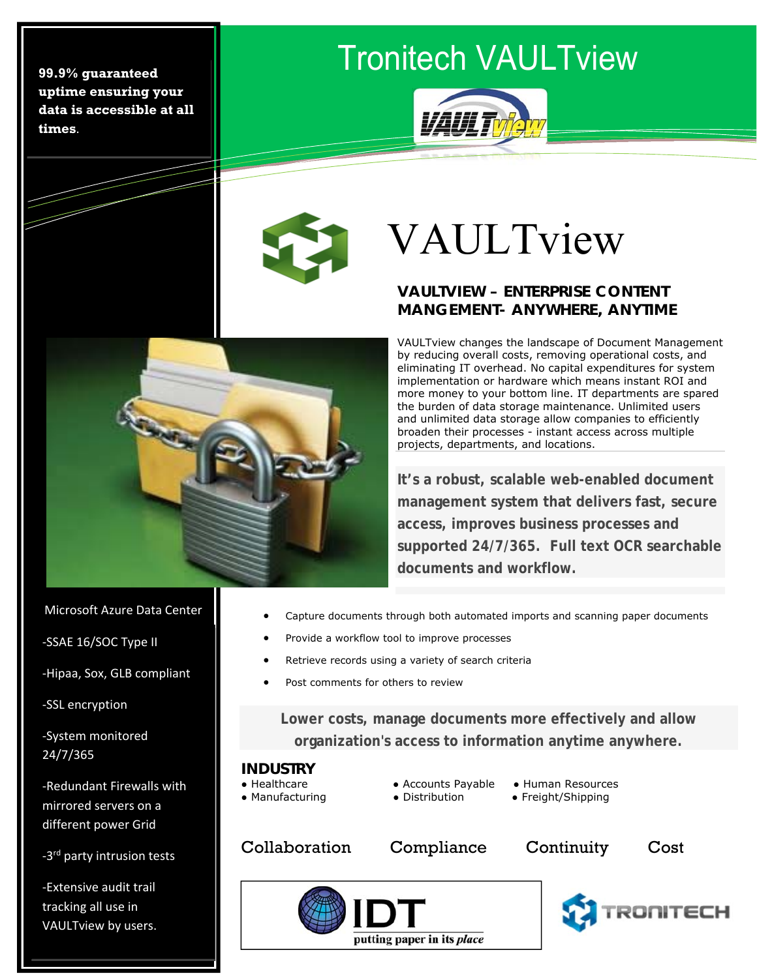**99.9% guaranteed uptime ensuring your data is accessible at all times**.

### Tronitech VAULTview



 $\mathbf{r}$ 

# VAULTview

#### **VAULTVIEW – ENTERPRISE CONTENT MANGEMENT- ANYWHERE, ANYTIME**

VAULTview changes the landscape of Document Management by reducing overall costs, removing operational costs, and eliminating IT overhead. No capital expenditures for system implementation or hardware which means instant ROI and more money to your bottom line. IT departments are spared the burden of data storage maintenance. Unlimited users and unlimited data storage allow companies to efficiently broaden their processes - instant access across multiple projects, departments, and locations.

**It's a robust, scalable web-enabled document management system that delivers fast, secure access, improves business processes and supported 24/7/365. Full text OCR searchable documents and workflow.** 

Microsoft Azure Data Center

**SONE** 

‐SSAE 16/SOC Type II

‐Hipaa, Sox, GLB compliant

 ‐SSL encryption

-System monitored<br>24/7/255 24/7/365

‐Redundant Firewalls with mirrored servers on a different power Grid

-3<sup>rd</sup> party intrusion tests

‐Extensive audit trail tracking all use in VAULTview by users.

- Capture documents through both automated imports and scanning paper documents
- Provide a workflow tool to improve processes
- Retrieve records using a variety of search criteria
- Post comments for others to review

**Lower costs, manage documents more effectively and allow organization's access to information anytime anywhere.** 

#### **INDUSTRY**

- 
- 
- Healthcare ● Accounts Payable Human Resources ● Manufacturing ● Distribution ● Freight/Shipping
- 
- Collaboration Compliance Continuity Cost

putting paper in its place